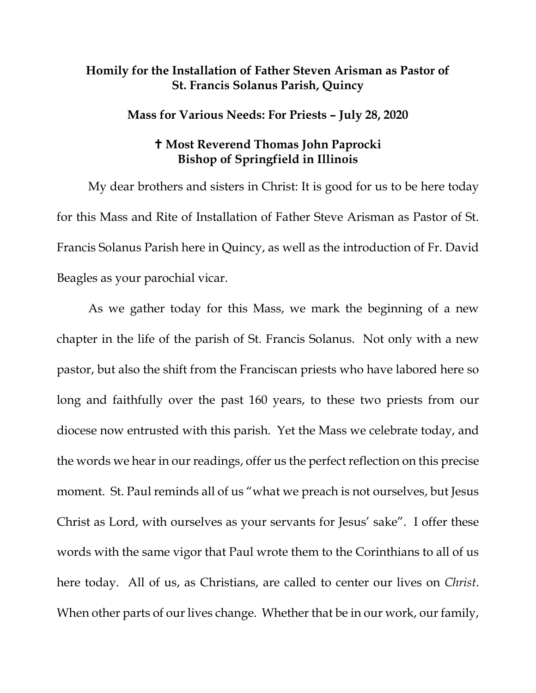## **Homily for the Installation of Father Steven Arisman as Pastor of St. Francis Solanus Parish, Quincy**

## **Mass for Various Needs: For Priests – July 28, 2020**

## **Most Reverend Thomas John Paprocki Bishop of Springfield in Illinois**

My dear brothers and sisters in Christ: It is good for us to be here today for this Mass and Rite of Installation of Father Steve Arisman as Pastor of St. Francis Solanus Parish here in Quincy, as well as the introduction of Fr. David Beagles as your parochial vicar.

As we gather today for this Mass, we mark the beginning of a new chapter in the life of the parish of St. Francis Solanus. Not only with a new pastor, but also the shift from the Franciscan priests who have labored here so long and faithfully over the past 160 years, to these two priests from our diocese now entrusted with this parish. Yet the Mass we celebrate today, and the words we hear in our readings, offer us the perfect reflection on this precise moment. St. Paul reminds all of us "what we preach is not ourselves, but Jesus Christ as Lord, with ourselves as your servants for Jesus' sake". I offer these words with the same vigor that Paul wrote them to the Corinthians to all of us here today. All of us, as Christians, are called to center our lives on *Christ*. When other parts of our lives change. Whether that be in our work, our family,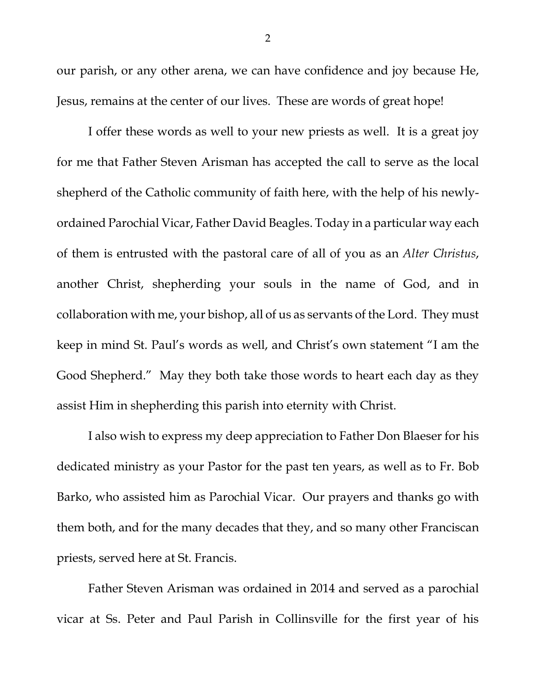our parish, or any other arena, we can have confidence and joy because He, Jesus, remains at the center of our lives. These are words of great hope!

I offer these words as well to your new priests as well. It is a great joy for me that Father Steven Arisman has accepted the call to serve as the local shepherd of the Catholic community of faith here, with the help of his newlyordained Parochial Vicar, Father David Beagles. Today in a particular way each of them is entrusted with the pastoral care of all of you as an *Alter Christus*, another Christ, shepherding your souls in the name of God, and in collaboration with me, your bishop, all of us as servants of the Lord. They must keep in mind St. Paul's words as well, and Christ's own statement "I am the Good Shepherd." May they both take those words to heart each day as they assist Him in shepherding this parish into eternity with Christ.

I also wish to express my deep appreciation to Father Don Blaeser for his dedicated ministry as your Pastor for the past ten years, as well as to Fr. Bob Barko, who assisted him as Parochial Vicar. Our prayers and thanks go with them both, and for the many decades that they, and so many other Franciscan priests, served here at St. Francis.

Father Steven Arisman was ordained in 2014 and served as a parochial vicar at Ss. Peter and Paul Parish in Collinsville for the first year of his

2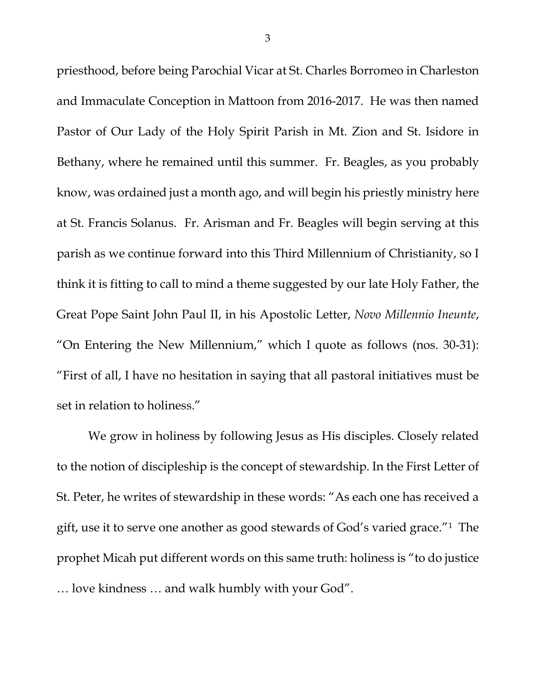priesthood, before being Parochial Vicar at St. Charles Borromeo in Charleston and Immaculate Conception in Mattoon from 2016-2017. He was then named Pastor of Our Lady of the Holy Spirit Parish in Mt. Zion and St. Isidore in Bethany, where he remained until this summer. Fr. Beagles, as you probably know, was ordained just a month ago, and will begin his priestly ministry here at St. Francis Solanus. Fr. Arisman and Fr. Beagles will begin serving at this parish as we continue forward into this Third Millennium of Christianity, so I think it is fitting to call to mind a theme suggested by our late Holy Father, the Great Pope Saint John Paul II, in his Apostolic Letter, *Novo Millennio Ineunte*, "On Entering the New Millennium," which I quote as follows (nos. 30-31): "First of all, I have no hesitation in saying that all pastoral initiatives must be set in relation to holiness."

We grow in holiness by following Jesus as His disciples. Closely related to the notion of discipleship is the concept of stewardship. In the First Letter of St. Peter, he writes of stewardship in these words: "As each one has received a gift, use it to serve one another as good stewards of God's varied grace."[1](#page-5-0) The prophet Micah put different words on this same truth: holiness is "to do justice … love kindness … and walk humbly with your God".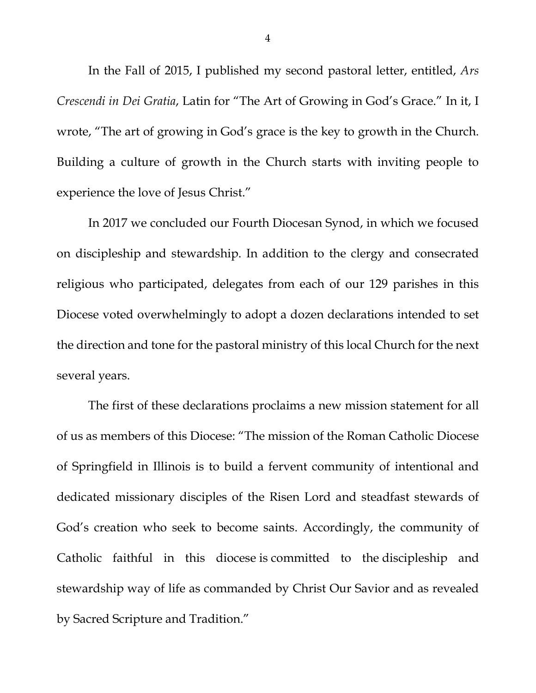In the Fall of 2015, I published my second pastoral letter, entitled, *Ars Crescendi in Dei Gratia*, Latin for "The Art of Growing in God's Grace." In it, I wrote, "The art of growing in God's grace is the key to growth in the Church. Building a culture of growth in the Church starts with inviting people to experience the love of Jesus Christ."

In 2017 we concluded our Fourth Diocesan Synod, in which we focused on discipleship and stewardship. In addition to the clergy and consecrated religious who participated, delegates from each of our 129 parishes in this Diocese voted overwhelmingly to adopt a dozen declarations intended to set the direction and tone for the pastoral ministry of this local Church for the next several years.

The first of these declarations proclaims a new mission statement for all of us as members of this Diocese: "The mission of the Roman Catholic Diocese of Springfield in Illinois is to build a fervent community of intentional and dedicated missionary disciples of the Risen Lord and steadfast stewards of God's creation who seek to become saints. Accordingly, the community of Catholic faithful in this diocese is committed to the discipleship and stewardship way of life as commanded by Christ Our Savior and as revealed by Sacred Scripture and Tradition."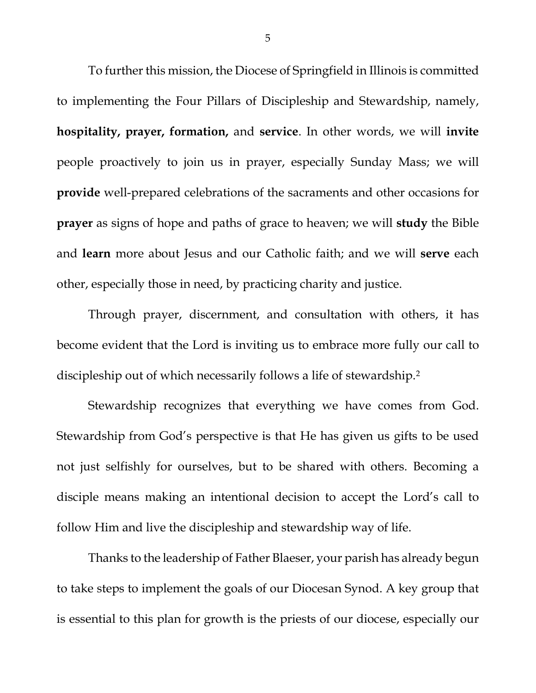To further this mission, the Diocese of Springfield in Illinois is committed to implementing the Four Pillars of Discipleship and Stewardship, namely, **hospitality, prayer, formation,** and **service**. In other words, we will **invite** people proactively to join us in prayer, especially Sunday Mass; we will **provide** well-prepared celebrations of the sacraments and other occasions for **prayer** as signs of hope and paths of grace to heaven; we will **study** the Bible and **learn** more about Jesus and our Catholic faith; and we will **serve** each other, especially those in need, by practicing charity and justice.

Through prayer, discernment, and consultation with others, it has become evident that the Lord is inviting us to embrace more fully our call to discipleship out of which necessarily follows a life of stewardship.<sup>2</sup>

Stewardship recognizes that everything we have comes from God. Stewardship from God's perspective is that He has given us gifts to be used not just selfishly for ourselves, but to be shared with others. Becoming a disciple means making an intentional decision to accept the Lord's call to follow Him and live the discipleship and stewardship way of life.

Thanks to the leadership of Father Blaeser, your parish has already begun to take steps to implement the goals of our Diocesan Synod. A key group that is essential to this plan for growth is the priests of our diocese, especially our